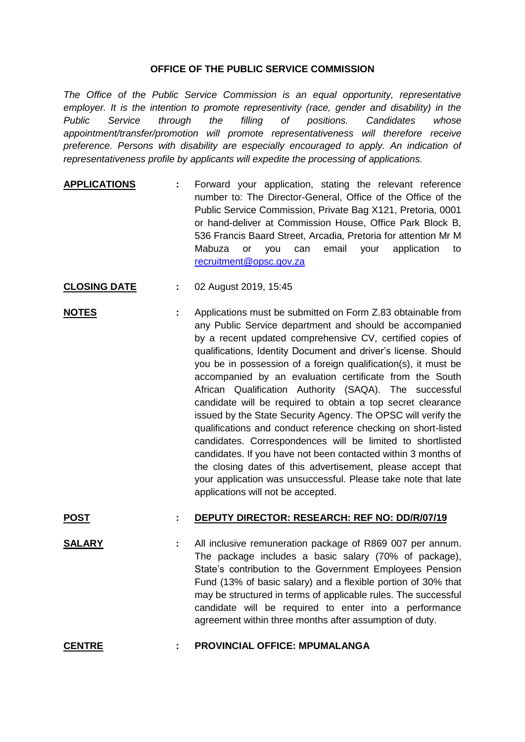## **OFFICE OF THE PUBLIC SERVICE COMMISSION**

*The Office of the Public Service Commission is an equal opportunity, representative employer. It is the intention to promote representivity (race, gender and disability) in the Public Service through the filling of positions. Candidates whose appointment/transfer/promotion will promote representativeness will therefore receive preference. Persons with disability are especially encouraged to apply. An indication of representativeness profile by applicants will expedite the processing of applications.*

- **APPLICATIONS :** Forward your application, stating the relevant reference number to: The Director-General, Office of the Office of the Public Service Commission, Private Bag X121, Pretoria, 0001 or hand-deliver at Commission House, Office Park Block B, 536 Francis Baard Street, Arcadia, Pretoria for attention Mr M Mabuza or you can email your application to [recruitment@opsc.gov.za](mailto:recruitment@opsc.gov.za)
- **CLOSING DATE :** 02 August 2019, 15:45
- **NOTES :** Applications must be submitted on Form Z.83 obtainable from any Public Service department and should be accompanied by a recent updated comprehensive CV, certified copies of qualifications, Identity Document and driver's license. Should you be in possession of a foreign qualification(s), it must be accompanied by an evaluation certificate from the South African Qualification Authority (SAQA). The successful candidate will be required to obtain a top secret clearance issued by the State Security Agency. The OPSC will verify the qualifications and conduct reference checking on short-listed candidates. Correspondences will be limited to shortlisted candidates. If you have not been contacted within 3 months of the closing dates of this advertisement, please accept that your application was unsuccessful. Please take note that late applications will not be accepted.

## **POST : DEPUTY DIRECTOR: RESEARCH: REF NO: DD/R/07/19**

- **SALARY :** All inclusive remuneration package of R869 007 per annum. The package includes a basic salary (70% of package), State's contribution to the Government Employees Pension Fund (13% of basic salary) and a flexible portion of 30% that may be structured in terms of applicable rules. The successful candidate will be required to enter into a performance agreement within three months after assumption of duty.
- **CENTRE : PROVINCIAL OFFICE: MPUMALANGA**